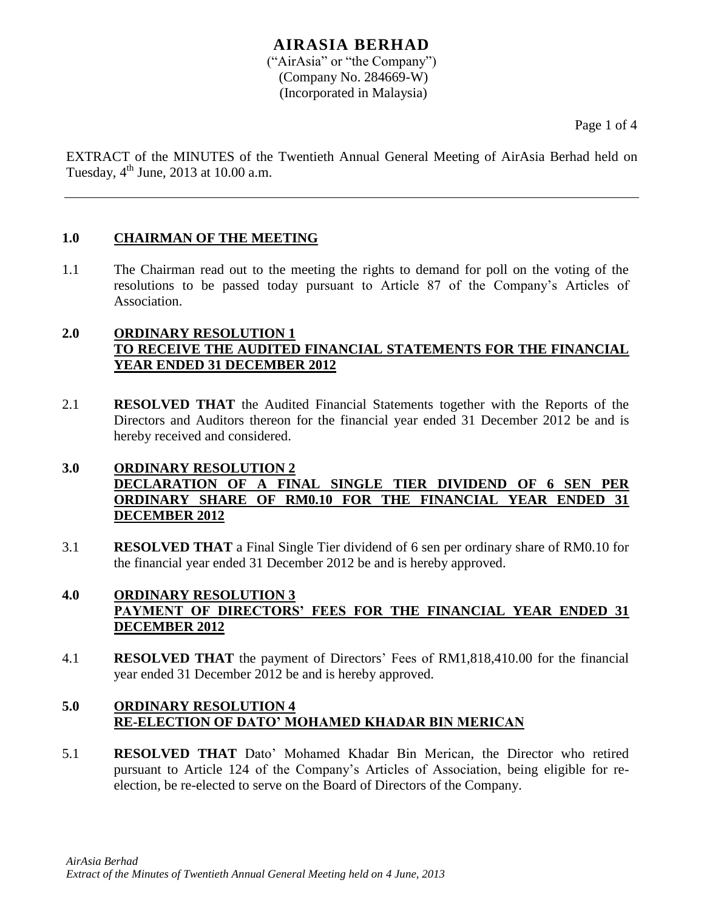# **AIRASIA BERHAD**

("AirAsia" or "the Company") (Company No. 284669-W) (Incorporated in Malaysia)

Page 1 of 4

EXTRACT of the MINUTES of the Twentieth Annual General Meeting of AirAsia Berhad held on Tuesday,  $4^{\text{th}}$  June, 2013 at 10.00 a.m.

# **1.0 CHAIRMAN OF THE MEETING**

1.1 The Chairman read out to the meeting the rights to demand for poll on the voting of the resolutions to be passed today pursuant to Article 87 of the Company's Articles of Association.

# **2.0 ORDINARY RESOLUTION 1 TO RECEIVE THE AUDITED FINANCIAL STATEMENTS FOR THE FINANCIAL YEAR ENDED 31 DECEMBER 2012**

2.1 **RESOLVED THAT** the Audited Financial Statements together with the Reports of the Directors and Auditors thereon for the financial year ended 31 December 2012 be and is hereby received and considered.

# **3.0 ORDINARY RESOLUTION 2 DECLARATION OF A FINAL SINGLE TIER DIVIDEND OF 6 SEN PER ORDINARY SHARE OF RM0.10 FOR THE FINANCIAL YEAR ENDED 31 DECEMBER 2012**

3.1 **RESOLVED THAT** a Final Single Tier dividend of 6 sen per ordinary share of RM0.10 for the financial year ended 31 December 2012 be and is hereby approved.

# **4.0 ORDINARY RESOLUTION 3 PAYMENT OF DIRECTORS' FEES FOR THE FINANCIAL YEAR ENDED 31 DECEMBER 2012**

4.1 **RESOLVED THAT** the payment of Directors' Fees of RM1,818,410.00 for the financial year ended 31 December 2012 be and is hereby approved.

# **5.0 ORDINARY RESOLUTION 4 RE-ELECTION OF DATO' MOHAMED KHADAR BIN MERICAN**

5.1 **RESOLVED THAT** Dato' Mohamed Khadar Bin Merican, the Director who retired pursuant to Article 124 of the Company's Articles of Association, being eligible for reelection, be re-elected to serve on the Board of Directors of the Company.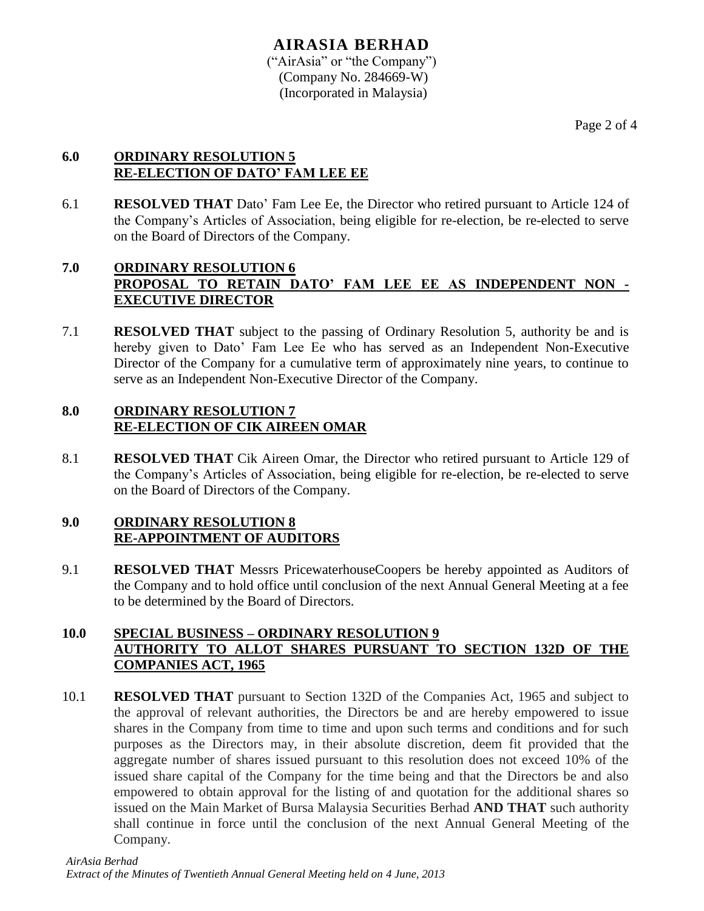#### **AIRASIA BERHAD** ("AirAsia" or "the Company") (Company No. 284669-W) (Incorporated in Malaysia)

# **6.0 ORDINARY RESOLUTION 5 RE-ELECTION OF DATO' FAM LEE EE**

6.1 **RESOLVED THAT** Dato' Fam Lee Ee, the Director who retired pursuant to Article 124 of the Company's Articles of Association, being eligible for re-election, be re-elected to serve on the Board of Directors of the Company.

# **7.0 ORDINARY RESOLUTION 6 PROPOSAL TO RETAIN DATO' FAM LEE EE AS INDEPENDENT NON - EXECUTIVE DIRECTOR**

7.1 **RESOLVED THAT** subject to the passing of Ordinary Resolution 5, authority be and is hereby given to Dato' Fam Lee Ee who has served as an Independent Non-Executive Director of the Company for a cumulative term of approximately nine years, to continue to serve as an Independent Non-Executive Director of the Company.

# **8.0 ORDINARY RESOLUTION 7 RE-ELECTION OF CIK AIREEN OMAR**

8.1 **RESOLVED THAT** Cik Aireen Omar, the Director who retired pursuant to Article 129 of the Company's Articles of Association, being eligible for re-election, be re-elected to serve on the Board of Directors of the Company.

# **9.0 ORDINARY RESOLUTION 8 RE-APPOINTMENT OF AUDITORS**

9.1 **RESOLVED THAT** Messrs PricewaterhouseCoopers be hereby appointed as Auditors of the Company and to hold office until conclusion of the next Annual General Meeting at a fee to be determined by the Board of Directors.

# **10.0 SPECIAL BUSINESS – ORDINARY RESOLUTION 9 AUTHORITY TO ALLOT SHARES PURSUANT TO SECTION 132D OF THE COMPANIES ACT, 1965**

10.1 **RESOLVED THAT** pursuant to Section 132D of the Companies Act, 1965 and subject to the approval of relevant authorities, the Directors be and are hereby empowered to issue shares in the Company from time to time and upon such terms and conditions and for such purposes as the Directors may, in their absolute discretion, deem fit provided that the aggregate number of shares issued pursuant to this resolution does not exceed 10% of the issued share capital of the Company for the time being and that the Directors be and also empowered to obtain approval for the listing of and quotation for the additional shares so issued on the Main Market of Bursa Malaysia Securities Berhad **AND THAT** such authority shall continue in force until the conclusion of the next Annual General Meeting of the Company.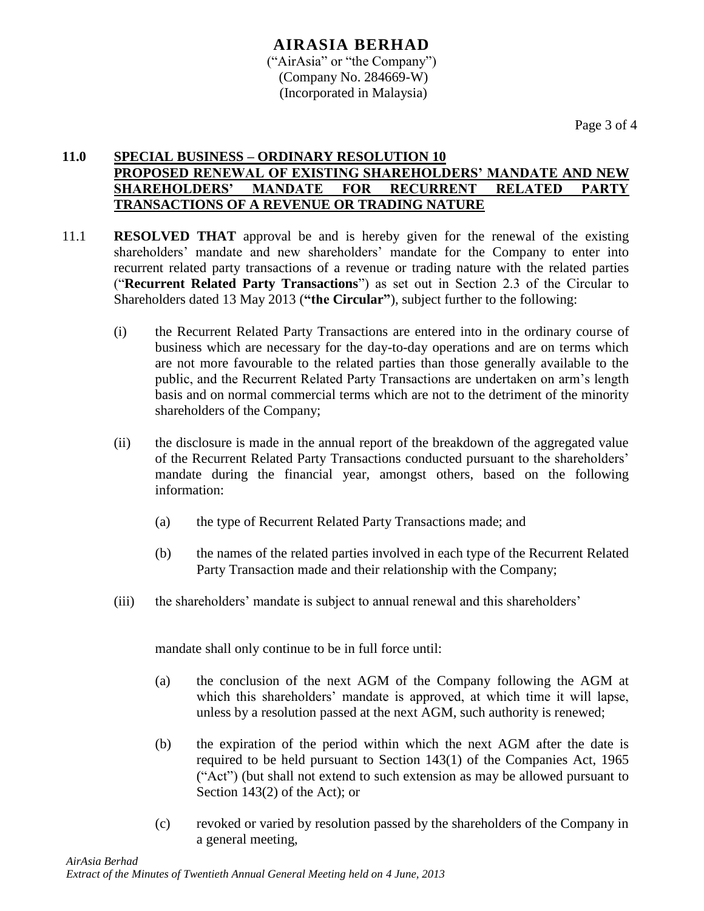#### **AIRASIA BERHAD** ("AirAsia" or "the Company") (Company No. 284669-W) (Incorporated in Malaysia)

Page 3 of 4

#### **11.0 SPECIAL BUSINESS – ORDINARY RESOLUTION 10 PROPOSED RENEWAL OF EXISTING SHAREHOLDERS' MANDATE AND NEW SHAREHOLDERS' MANDATE FOR RECURRENT RELATED PARTY TRANSACTIONS OF A REVENUE OR TRADING NATURE**

- 11.1 **RESOLVED THAT** approval be and is hereby given for the renewal of the existing shareholders' mandate and new shareholders' mandate for the Company to enter into recurrent related party transactions of a revenue or trading nature with the related parties ("**Recurrent Related Party Transactions**") as set out in Section 2.3 of the Circular to Shareholders dated 13 May 2013 (**"the Circular"**), subject further to the following:
	- (i) the Recurrent Related Party Transactions are entered into in the ordinary course of business which are necessary for the day-to-day operations and are on terms which are not more favourable to the related parties than those generally available to the public, and the Recurrent Related Party Transactions are undertaken on arm's length basis and on normal commercial terms which are not to the detriment of the minority shareholders of the Company;
	- (ii) the disclosure is made in the annual report of the breakdown of the aggregated value of the Recurrent Related Party Transactions conducted pursuant to the shareholders' mandate during the financial year, amongst others, based on the following information:
		- (a) the type of Recurrent Related Party Transactions made; and
		- (b) the names of the related parties involved in each type of the Recurrent Related Party Transaction made and their relationship with the Company;
	- (iii) the shareholders' mandate is subject to annual renewal and this shareholders'

mandate shall only continue to be in full force until:

- (a) the conclusion of the next AGM of the Company following the AGM at which this shareholders' mandate is approved, at which time it will lapse, unless by a resolution passed at the next AGM, such authority is renewed;
- (b) the expiration of the period within which the next AGM after the date is required to be held pursuant to Section 143(1) of the Companies Act, 1965 ("Act") (but shall not extend to such extension as may be allowed pursuant to Section 143(2) of the Act); or
- (c) revoked or varied by resolution passed by the shareholders of the Company in a general meeting,